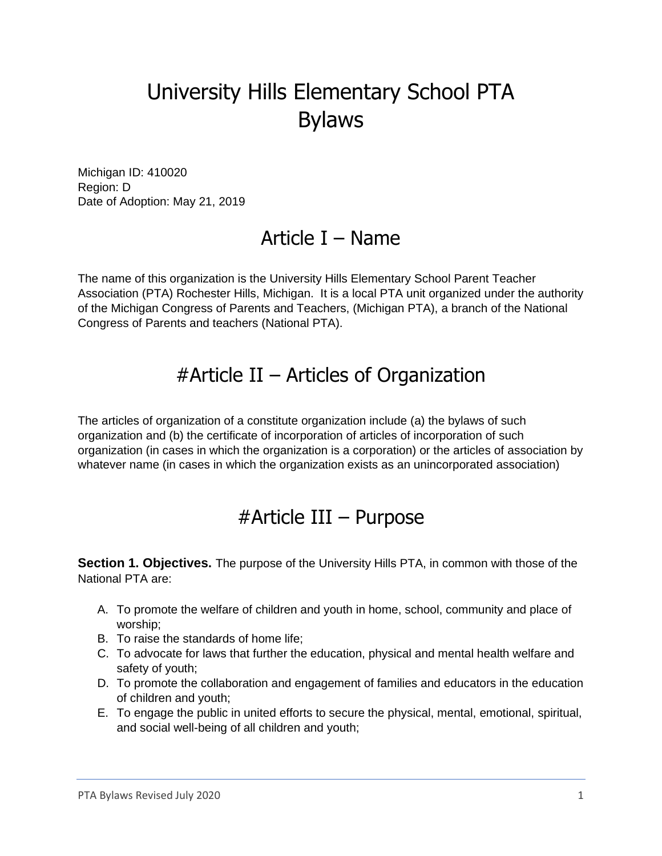# University Hills Elementary School PTA Bylaws

Michigan ID: 410020 Region: D Date of Adoption: May 21, 2019

### Article I – Name

The name of this organization is the University Hills Elementary School Parent Teacher Association (PTA) Rochester Hills, Michigan. It is a local PTA unit organized under the authority of the Michigan Congress of Parents and Teachers, (Michigan PTA), a branch of the National Congress of Parents and teachers (National PTA).

### #Article II – Articles of Organization

The articles of organization of a constitute organization include (a) the bylaws of such organization and (b) the certificate of incorporation of articles of incorporation of such organization (in cases in which the organization is a corporation) or the articles of association by whatever name (in cases in which the organization exists as an unincorporated association)

### #Article III – Purpose

**Section 1. Objectives.** The purpose of the University Hills PTA, in common with those of the National PTA are:

- A. To promote the welfare of children and youth in home, school, community and place of worship;
- B. To raise the standards of home life;
- C. To advocate for laws that further the education, physical and mental health welfare and safety of youth;
- D. To promote the collaboration and engagement of families and educators in the education of children and youth;
- E. To engage the public in united efforts to secure the physical, mental, emotional, spiritual, and social well-being of all children and youth;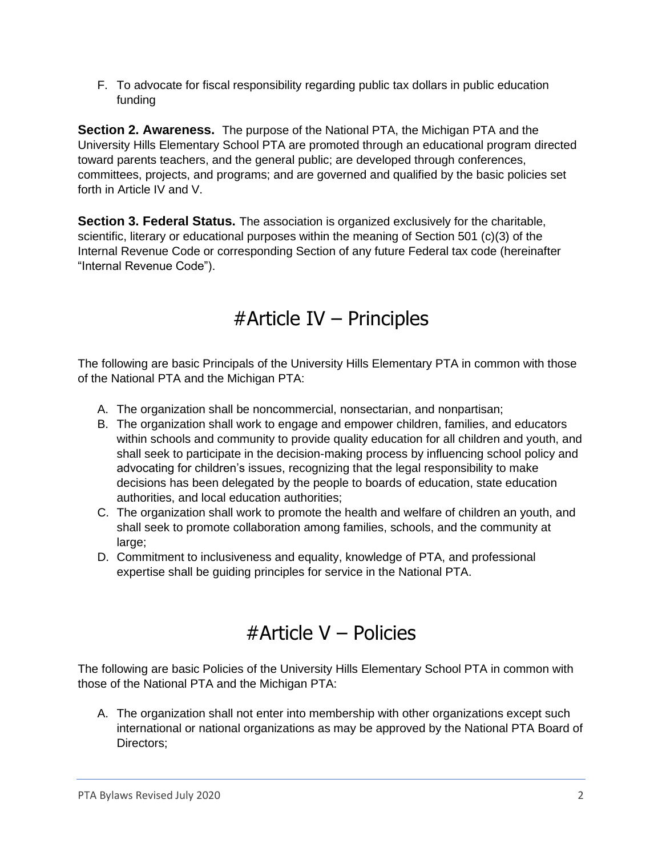F. To advocate for fiscal responsibility regarding public tax dollars in public education funding

**Section 2. Awareness.** The purpose of the National PTA, the Michigan PTA and the University Hills Elementary School PTA are promoted through an educational program directed toward parents teachers, and the general public; are developed through conferences, committees, projects, and programs; and are governed and qualified by the basic policies set forth in Article IV and V.

**Section 3. Federal Status.** The association is organized exclusively for the charitable, scientific, literary or educational purposes within the meaning of Section 501 (c)(3) of the Internal Revenue Code or corresponding Section of any future Federal tax code (hereinafter "Internal Revenue Code").

## #Article IV – Principles

The following are basic Principals of the University Hills Elementary PTA in common with those of the National PTA and the Michigan PTA:

- A. The organization shall be noncommercial, nonsectarian, and nonpartisan;
- B. The organization shall work to engage and empower children, families, and educators within schools and community to provide quality education for all children and youth, and shall seek to participate in the decision-making process by influencing school policy and advocating for children's issues, recognizing that the legal responsibility to make decisions has been delegated by the people to boards of education, state education authorities, and local education authorities;
- C. The organization shall work to promote the health and welfare of children an youth, and shall seek to promote collaboration among families, schools, and the community at large:
- D. Commitment to inclusiveness and equality, knowledge of PTA, and professional expertise shall be guiding principles for service in the National PTA.

# #Article V – Policies

The following are basic Policies of the University Hills Elementary School PTA in common with those of the National PTA and the Michigan PTA:

A. The organization shall not enter into membership with other organizations except such international or national organizations as may be approved by the National PTA Board of Directors;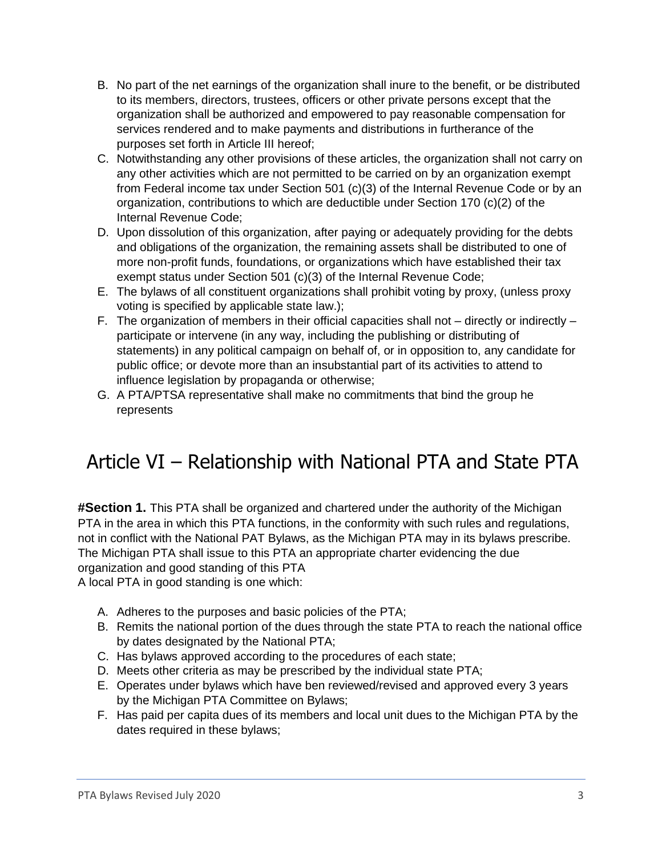- B. No part of the net earnings of the organization shall inure to the benefit, or be distributed to its members, directors, trustees, officers or other private persons except that the organization shall be authorized and empowered to pay reasonable compensation for services rendered and to make payments and distributions in furtherance of the purposes set forth in Article III hereof;
- C. Notwithstanding any other provisions of these articles, the organization shall not carry on any other activities which are not permitted to be carried on by an organization exempt from Federal income tax under Section 501 (c)(3) of the Internal Revenue Code or by an organization, contributions to which are deductible under Section 170 (c)(2) of the Internal Revenue Code;
- D. Upon dissolution of this organization, after paying or adequately providing for the debts and obligations of the organization, the remaining assets shall be distributed to one of more non-profit funds, foundations, or organizations which have established their tax exempt status under Section 501 (c)(3) of the Internal Revenue Code;
- E. The bylaws of all constituent organizations shall prohibit voting by proxy, (unless proxy voting is specified by applicable state law.);
- F. The organization of members in their official capacities shall not directly or indirectly participate or intervene (in any way, including the publishing or distributing of statements) in any political campaign on behalf of, or in opposition to, any candidate for public office; or devote more than an insubstantial part of its activities to attend to influence legislation by propaganda or otherwise;
- G. A PTA/PTSA representative shall make no commitments that bind the group he represents

# Article VI – Relationship with National PTA and State PTA

**#Section 1.** This PTA shall be organized and chartered under the authority of the Michigan PTA in the area in which this PTA functions, in the conformity with such rules and regulations, not in conflict with the National PAT Bylaws, as the Michigan PTA may in its bylaws prescribe. The Michigan PTA shall issue to this PTA an appropriate charter evidencing the due organization and good standing of this PTA

A local PTA in good standing is one which:

- A. Adheres to the purposes and basic policies of the PTA;
- B. Remits the national portion of the dues through the state PTA to reach the national office by dates designated by the National PTA;
- C. Has bylaws approved according to the procedures of each state;
- D. Meets other criteria as may be prescribed by the individual state PTA;
- E. Operates under bylaws which have ben reviewed/revised and approved every 3 years by the Michigan PTA Committee on Bylaws;
- F. Has paid per capita dues of its members and local unit dues to the Michigan PTA by the dates required in these bylaws;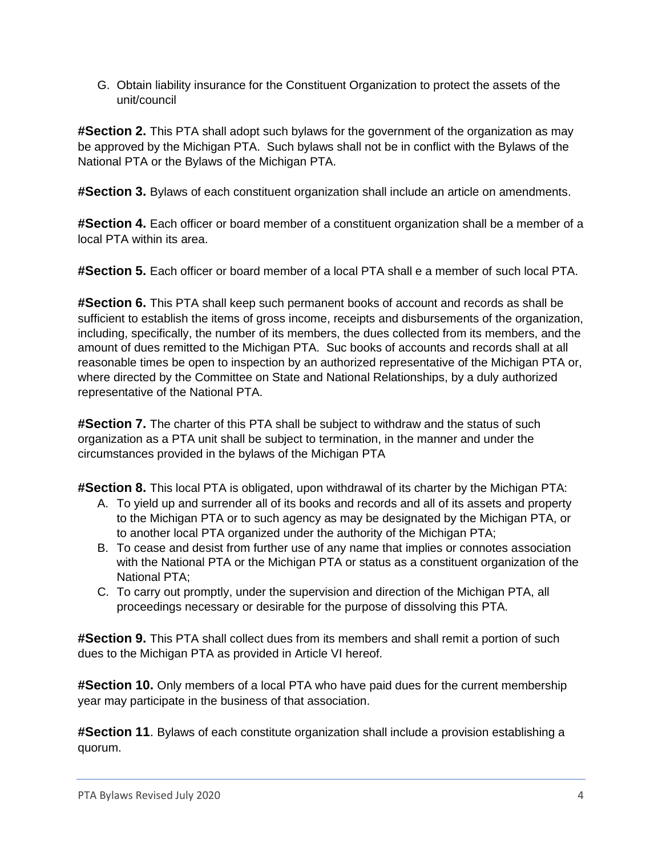G. Obtain liability insurance for the Constituent Organization to protect the assets of the unit/council

**#Section 2.** This PTA shall adopt such bylaws for the government of the organization as may be approved by the Michigan PTA. Such bylaws shall not be in conflict with the Bylaws of the National PTA or the Bylaws of the Michigan PTA.

**#Section 3.** Bylaws of each constituent organization shall include an article on amendments.

**#Section 4.** Each officer or board member of a constituent organization shall be a member of a local PTA within its area.

**#Section 5.** Each officer or board member of a local PTA shall e a member of such local PTA.

**#Section 6.** This PTA shall keep such permanent books of account and records as shall be sufficient to establish the items of gross income, receipts and disbursements of the organization, including, specifically, the number of its members, the dues collected from its members, and the amount of dues remitted to the Michigan PTA. Suc books of accounts and records shall at all reasonable times be open to inspection by an authorized representative of the Michigan PTA or, where directed by the Committee on State and National Relationships, by a duly authorized representative of the National PTA.

**#Section 7.** The charter of this PTA shall be subject to withdraw and the status of such organization as a PTA unit shall be subject to termination, in the manner and under the circumstances provided in the bylaws of the Michigan PTA

**#Section 8.** This local PTA is obligated, upon withdrawal of its charter by the Michigan PTA:

- A. To yield up and surrender all of its books and records and all of its assets and property to the Michigan PTA or to such agency as may be designated by the Michigan PTA, or to another local PTA organized under the authority of the Michigan PTA;
- B. To cease and desist from further use of any name that implies or connotes association with the National PTA or the Michigan PTA or status as a constituent organization of the National PTA;
- C. To carry out promptly, under the supervision and direction of the Michigan PTA, all proceedings necessary or desirable for the purpose of dissolving this PTA.

**#Section 9.** This PTA shall collect dues from its members and shall remit a portion of such dues to the Michigan PTA as provided in Article VI hereof.

**#Section 10.** Only members of a local PTA who have paid dues for the current membership year may participate in the business of that association.

**#Section 11**. Bylaws of each constitute organization shall include a provision establishing a quorum.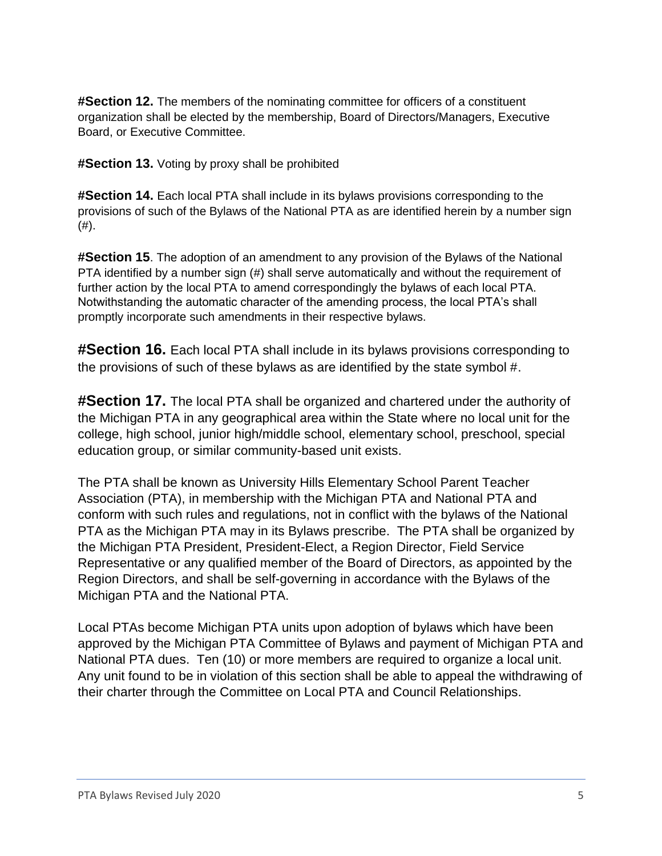**#Section 12.** The members of the nominating committee for officers of a constituent organization shall be elected by the membership, Board of Directors/Managers, Executive Board, or Executive Committee.

**#Section 13.** Voting by proxy shall be prohibited

**#Section 14.** Each local PTA shall include in its bylaws provisions corresponding to the provisions of such of the Bylaws of the National PTA as are identified herein by a number sign  $(#).$ 

**#Section 15**. The adoption of an amendment to any provision of the Bylaws of the National PTA identified by a number sign (#) shall serve automatically and without the requirement of further action by the local PTA to amend correspondingly the bylaws of each local PTA. Notwithstanding the automatic character of the amending process, the local PTA's shall promptly incorporate such amendments in their respective bylaws.

**#Section 16.** Each local PTA shall include in its bylaws provisions corresponding to the provisions of such of these bylaws as are identified by the state symbol #.

**#Section 17.** The local PTA shall be organized and chartered under the authority of the Michigan PTA in any geographical area within the State where no local unit for the college, high school, junior high/middle school, elementary school, preschool, special education group, or similar community-based unit exists.

The PTA shall be known as University Hills Elementary School Parent Teacher Association (PTA), in membership with the Michigan PTA and National PTA and conform with such rules and regulations, not in conflict with the bylaws of the National PTA as the Michigan PTA may in its Bylaws prescribe. The PTA shall be organized by the Michigan PTA President, President-Elect, a Region Director, Field Service Representative or any qualified member of the Board of Directors, as appointed by the Region Directors, and shall be self-governing in accordance with the Bylaws of the Michigan PTA and the National PTA.

Local PTAs become Michigan PTA units upon adoption of bylaws which have been approved by the Michigan PTA Committee of Bylaws and payment of Michigan PTA and National PTA dues. Ten (10) or more members are required to organize a local unit. Any unit found to be in violation of this section shall be able to appeal the withdrawing of their charter through the Committee on Local PTA and Council Relationships.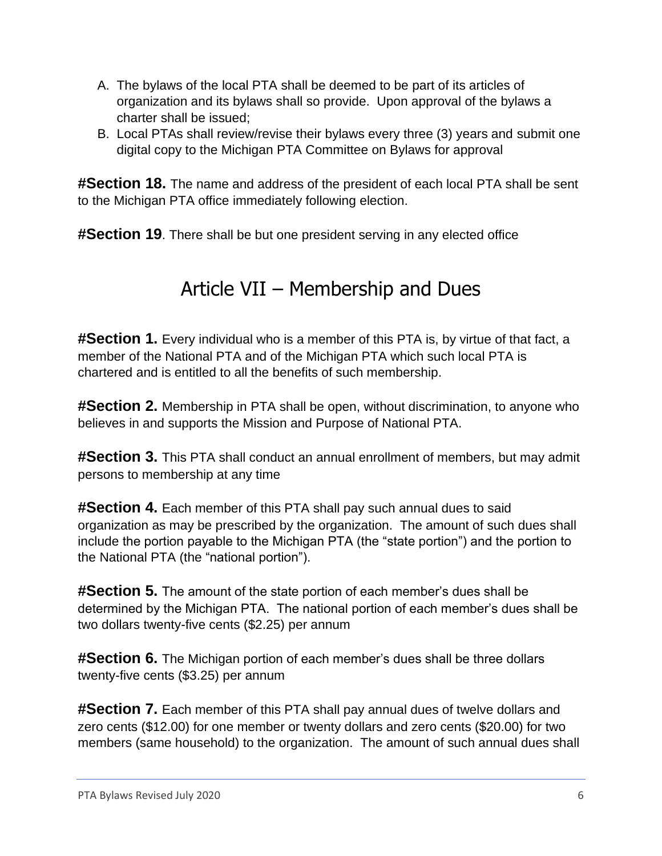- A. The bylaws of the local PTA shall be deemed to be part of its articles of organization and its bylaws shall so provide. Upon approval of the bylaws a charter shall be issued;
- B. Local PTAs shall review/revise their bylaws every three (3) years and submit one digital copy to the Michigan PTA Committee on Bylaws for approval

**#Section 18.** The name and address of the president of each local PTA shall be sent to the Michigan PTA office immediately following election.

**#Section 19**. There shall be but one president serving in any elected office

## Article VII – Membership and Dues

**#Section 1.** Every individual who is a member of this PTA is, by virtue of that fact, a member of the National PTA and of the Michigan PTA which such local PTA is chartered and is entitled to all the benefits of such membership.

**#Section 2.** Membership in PTA shall be open, without discrimination, to anyone who believes in and supports the Mission and Purpose of National PTA.

**#Section 3.** This PTA shall conduct an annual enrollment of members, but may admit persons to membership at any time

**#Section 4.** Each member of this PTA shall pay such annual dues to said organization as may be prescribed by the organization. The amount of such dues shall include the portion payable to the Michigan PTA (the "state portion") and the portion to the National PTA (the "national portion").

**#Section 5.** The amount of the state portion of each member's dues shall be determined by the Michigan PTA. The national portion of each member's dues shall be two dollars twenty-five cents (\$2.25) per annum

**#Section 6.** The Michigan portion of each member's dues shall be three dollars twenty-five cents (\$3.25) per annum

**#Section 7.** Each member of this PTA shall pay annual dues of twelve dollars and zero cents (\$12.00) for one member or twenty dollars and zero cents (\$20.00) for two members (same household) to the organization. The amount of such annual dues shall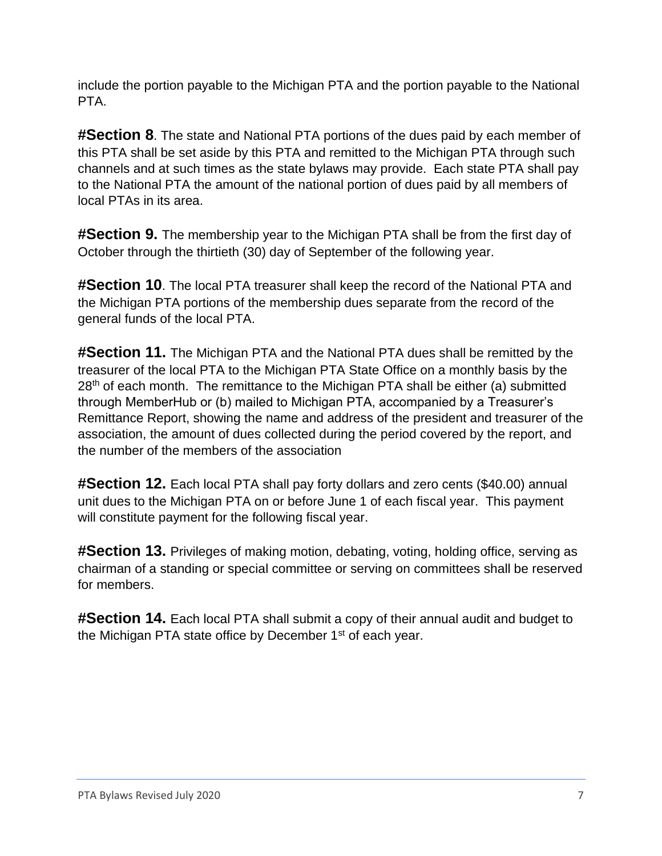include the portion payable to the Michigan PTA and the portion payable to the National PTA.

**#Section 8**. The state and National PTA portions of the dues paid by each member of this PTA shall be set aside by this PTA and remitted to the Michigan PTA through such channels and at such times as the state bylaws may provide. Each state PTA shall pay to the National PTA the amount of the national portion of dues paid by all members of local PTAs in its area.

**#Section 9.** The membership year to the Michigan PTA shall be from the first day of October through the thirtieth (30) day of September of the following year.

**#Section 10**. The local PTA treasurer shall keep the record of the National PTA and the Michigan PTA portions of the membership dues separate from the record of the general funds of the local PTA.

**#Section 11.** The Michigan PTA and the National PTA dues shall be remitted by the treasurer of the local PTA to the Michigan PTA State Office on a monthly basis by the 28<sup>th</sup> of each month. The remittance to the Michigan PTA shall be either (a) submitted through MemberHub or (b) mailed to Michigan PTA, accompanied by a Treasurer's Remittance Report, showing the name and address of the president and treasurer of the association, the amount of dues collected during the period covered by the report, and the number of the members of the association

**#Section 12.** Each local PTA shall pay forty dollars and zero cents (\$40.00) annual unit dues to the Michigan PTA on or before June 1 of each fiscal year. This payment will constitute payment for the following fiscal year.

**#Section 13.** Privileges of making motion, debating, voting, holding office, serving as chairman of a standing or special committee or serving on committees shall be reserved for members.

**#Section 14.** Each local PTA shall submit a copy of their annual audit and budget to the Michigan PTA state office by December 1<sup>st</sup> of each year.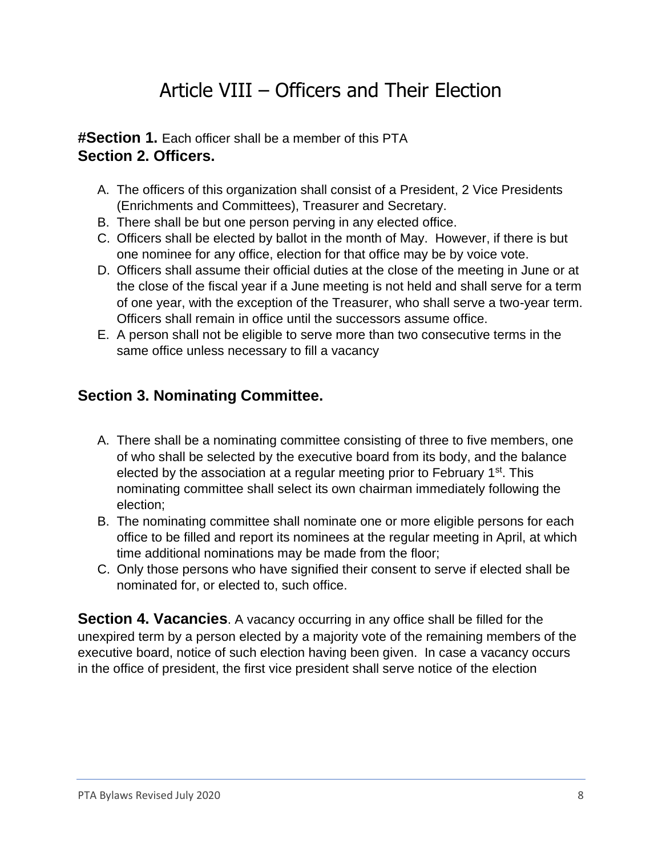# Article VIII – Officers and Their Election

**#Section 1.** Each officer shall be a member of this PTA **Section 2. Officers.** 

- A. The officers of this organization shall consist of a President, 2 Vice Presidents (Enrichments and Committees), Treasurer and Secretary.
- B. There shall be but one person perving in any elected office.
- C. Officers shall be elected by ballot in the month of May. However, if there is but one nominee for any office, election for that office may be by voice vote.
- D. Officers shall assume their official duties at the close of the meeting in June or at the close of the fiscal year if a June meeting is not held and shall serve for a term of one year, with the exception of the Treasurer, who shall serve a two-year term. Officers shall remain in office until the successors assume office.
- E. A person shall not be eligible to serve more than two consecutive terms in the same office unless necessary to fill a vacancy

#### **Section 3. Nominating Committee.**

- A. There shall be a nominating committee consisting of three to five members, one of who shall be selected by the executive board from its body, and the balance elected by the association at a regular meeting prior to February 1<sup>st</sup>. This nominating committee shall select its own chairman immediately following the election;
- B. The nominating committee shall nominate one or more eligible persons for each office to be filled and report its nominees at the regular meeting in April, at which time additional nominations may be made from the floor;
- C. Only those persons who have signified their consent to serve if elected shall be nominated for, or elected to, such office.

**Section 4. Vacancies**. A vacancy occurring in any office shall be filled for the unexpired term by a person elected by a majority vote of the remaining members of the executive board, notice of such election having been given. In case a vacancy occurs in the office of president, the first vice president shall serve notice of the election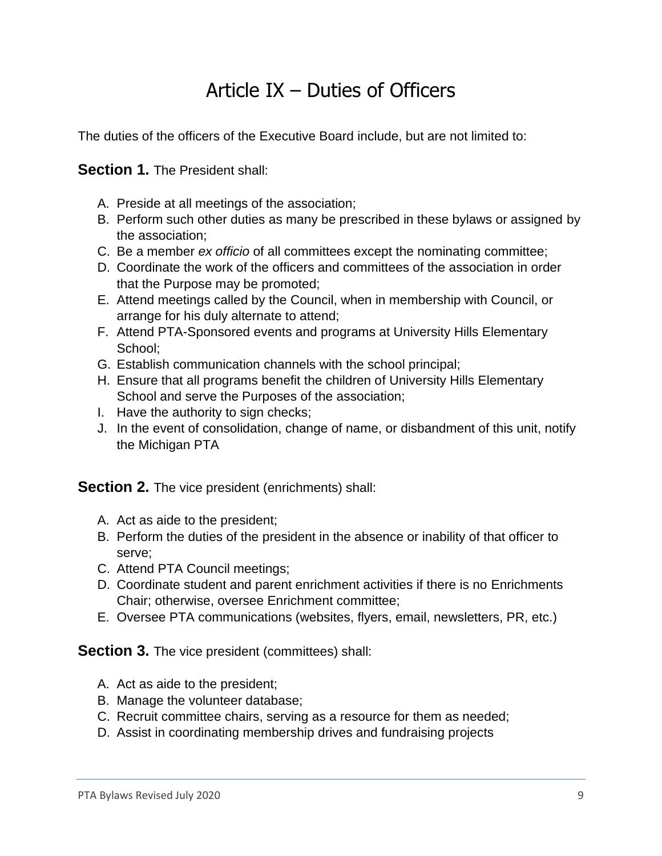## Article IX – Duties of Officers

The duties of the officers of the Executive Board include, but are not limited to:

**Section 1.** The President shall:

- A. Preside at all meetings of the association;
- B. Perform such other duties as many be prescribed in these bylaws or assigned by the association;
- C. Be a member *ex officio* of all committees except the nominating committee;
- D. Coordinate the work of the officers and committees of the association in order that the Purpose may be promoted;
- E. Attend meetings called by the Council, when in membership with Council, or arrange for his duly alternate to attend;
- F. Attend PTA-Sponsored events and programs at University Hills Elementary School;
- G. Establish communication channels with the school principal;
- H. Ensure that all programs benefit the children of University Hills Elementary School and serve the Purposes of the association;
- I. Have the authority to sign checks;
- J. In the event of consolidation, change of name, or disbandment of this unit, notify the Michigan PTA

**Section 2.** The vice president (enrichments) shall:

- A. Act as aide to the president;
- B. Perform the duties of the president in the absence or inability of that officer to serve;
- C. Attend PTA Council meetings;
- D. Coordinate student and parent enrichment activities if there is no Enrichments Chair; otherwise, oversee Enrichment committee;
- E. Oversee PTA communications (websites, flyers, email, newsletters, PR, etc.)

**Section 3.** The vice president (committees) shall:

- A. Act as aide to the president;
- B. Manage the volunteer database;
- C. Recruit committee chairs, serving as a resource for them as needed;
- D. Assist in coordinating membership drives and fundraising projects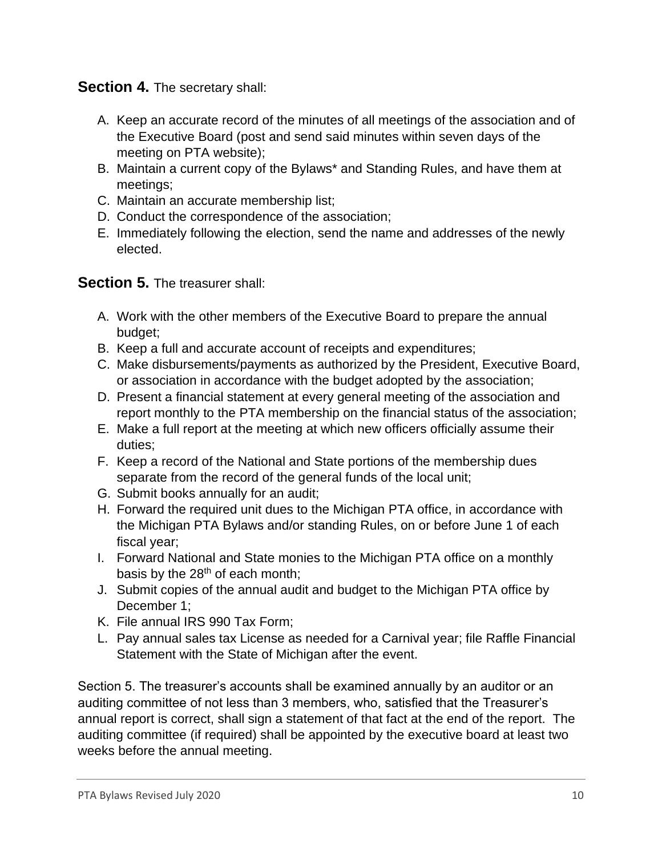**Section 4.** The secretary shall:

- A. Keep an accurate record of the minutes of all meetings of the association and of the Executive Board (post and send said minutes within seven days of the meeting on PTA website);
- B. Maintain a current copy of the Bylaws\* and Standing Rules, and have them at meetings;
- C. Maintain an accurate membership list;
- D. Conduct the correspondence of the association;
- E. Immediately following the election, send the name and addresses of the newly elected.

#### **Section 5.** The treasurer shall:

- A. Work with the other members of the Executive Board to prepare the annual budget;
- B. Keep a full and accurate account of receipts and expenditures;
- C. Make disbursements/payments as authorized by the President, Executive Board, or association in accordance with the budget adopted by the association;
- D. Present a financial statement at every general meeting of the association and report monthly to the PTA membership on the financial status of the association;
- E. Make a full report at the meeting at which new officers officially assume their duties;
- F. Keep a record of the National and State portions of the membership dues separate from the record of the general funds of the local unit;
- G. Submit books annually for an audit;
- H. Forward the required unit dues to the Michigan PTA office, in accordance with the Michigan PTA Bylaws and/or standing Rules, on or before June 1 of each fiscal year;
- I. Forward National and State monies to the Michigan PTA office on a monthly basis by the  $28<sup>th</sup>$  of each month;
- J. Submit copies of the annual audit and budget to the Michigan PTA office by December 1;
- K. File annual IRS 990 Tax Form;
- L. Pay annual sales tax License as needed for a Carnival year; file Raffle Financial Statement with the State of Michigan after the event.

Section 5. The treasurer's accounts shall be examined annually by an auditor or an auditing committee of not less than 3 members, who, satisfied that the Treasurer's annual report is correct, shall sign a statement of that fact at the end of the report. The auditing committee (if required) shall be appointed by the executive board at least two weeks before the annual meeting.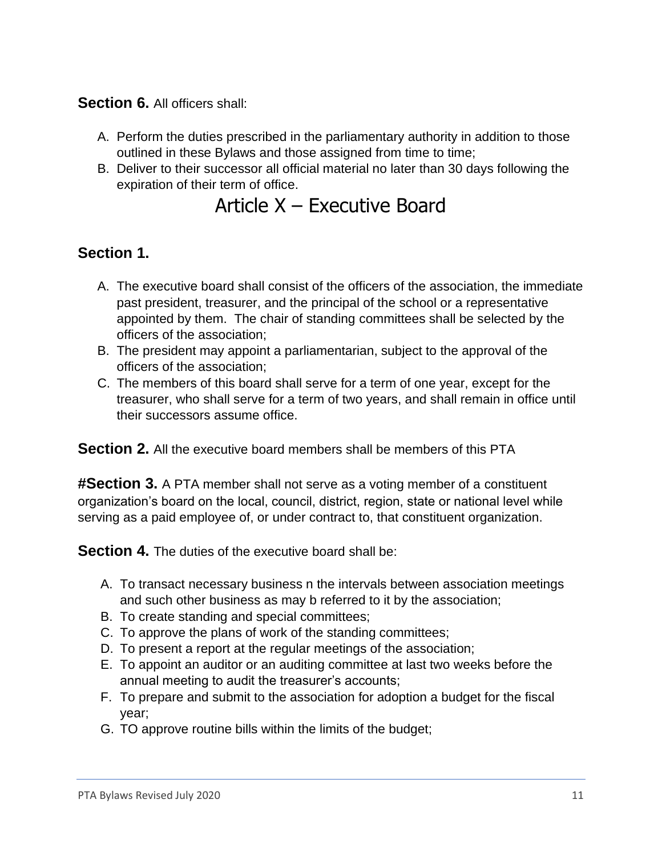#### **Section 6.** All officers shall:

- A. Perform the duties prescribed in the parliamentary authority in addition to those outlined in these Bylaws and those assigned from time to time;
- B. Deliver to their successor all official material no later than 30 days following the expiration of their term of office.

### Article X – Executive Board

#### **Section 1.**

- A. The executive board shall consist of the officers of the association, the immediate past president, treasurer, and the principal of the school or a representative appointed by them. The chair of standing committees shall be selected by the officers of the association;
- B. The president may appoint a parliamentarian, subject to the approval of the officers of the association;
- C. The members of this board shall serve for a term of one year, except for the treasurer, who shall serve for a term of two years, and shall remain in office until their successors assume office.

**Section 2.** All the executive board members shall be members of this PTA

**#Section 3.** A PTA member shall not serve as a voting member of a constituent organization's board on the local, council, district, region, state or national level while serving as a paid employee of, or under contract to, that constituent organization.

**Section 4.** The duties of the executive board shall be:

- A. To transact necessary business n the intervals between association meetings and such other business as may b referred to it by the association;
- B. To create standing and special committees;
- C. To approve the plans of work of the standing committees;
- D. To present a report at the regular meetings of the association;
- E. To appoint an auditor or an auditing committee at last two weeks before the annual meeting to audit the treasurer's accounts;
- F. To prepare and submit to the association for adoption a budget for the fiscal year;
- G. TO approve routine bills within the limits of the budget;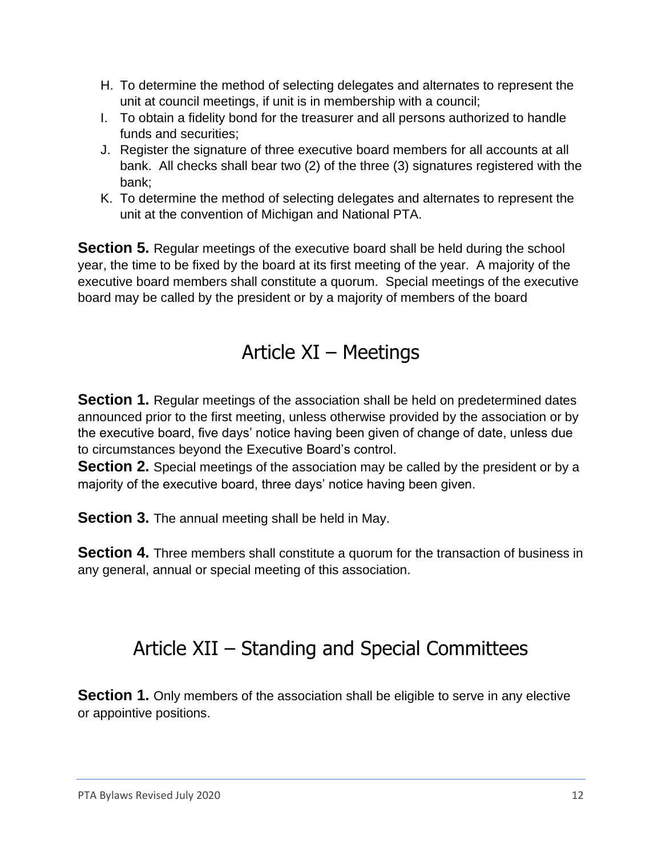- H. To determine the method of selecting delegates and alternates to represent the unit at council meetings, if unit is in membership with a council;
- I. To obtain a fidelity bond for the treasurer and all persons authorized to handle funds and securities;
- J. Register the signature of three executive board members for all accounts at all bank. All checks shall bear two (2) of the three (3) signatures registered with the bank;
- K. To determine the method of selecting delegates and alternates to represent the unit at the convention of Michigan and National PTA.

**Section 5.** Regular meetings of the executive board shall be held during the school year, the time to be fixed by the board at its first meeting of the year. A majority of the executive board members shall constitute a quorum. Special meetings of the executive board may be called by the president or by a majority of members of the board

### Article XI – Meetings

**Section 1.** Regular meetings of the association shall be held on predetermined dates announced prior to the first meeting, unless otherwise provided by the association or by the executive board, five days' notice having been given of change of date, unless due to circumstances beyond the Executive Board's control.

**Section 2.** Special meetings of the association may be called by the president or by a majority of the executive board, three days' notice having been given.

**Section 3.** The annual meeting shall be held in May.

**Section 4.** Three members shall constitute a quorum for the transaction of business in any general, annual or special meeting of this association.

# Article XII – Standing and Special Committees

**Section 1.** Only members of the association shall be eligible to serve in any elective or appointive positions.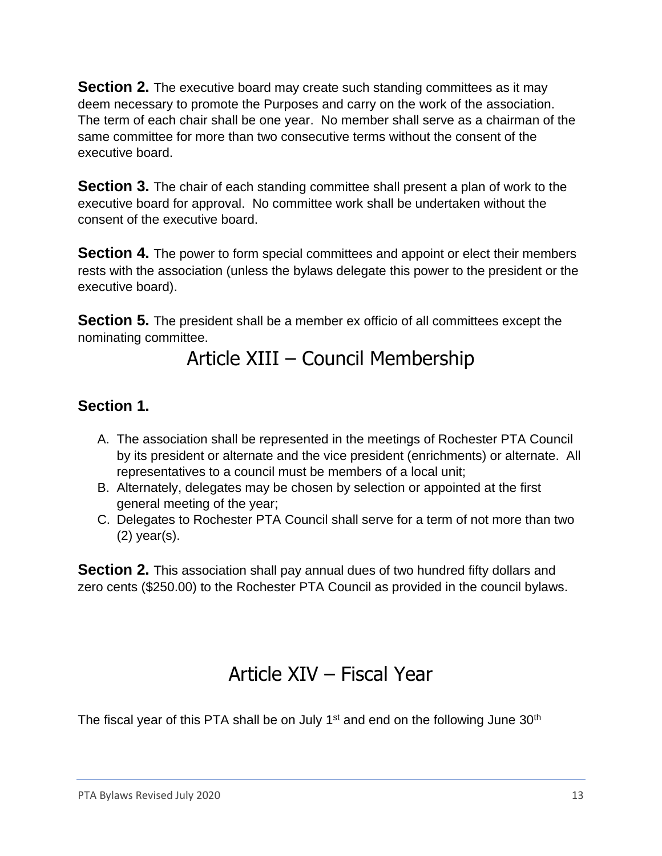**Section 2.** The executive board may create such standing committees as it may deem necessary to promote the Purposes and carry on the work of the association. The term of each chair shall be one year. No member shall serve as a chairman of the same committee for more than two consecutive terms without the consent of the executive board.

**Section 3.** The chair of each standing committee shall present a plan of work to the executive board for approval. No committee work shall be undertaken without the consent of the executive board.

**Section 4.** The power to form special committees and appoint or elect their members rests with the association (unless the bylaws delegate this power to the president or the executive board).

**Section 5.** The president shall be a member ex officio of all committees except the nominating committee.

### Article XIII – Council Membership

#### **Section 1.**

- A. The association shall be represented in the meetings of Rochester PTA Council by its president or alternate and the vice president (enrichments) or alternate. All representatives to a council must be members of a local unit;
- B. Alternately, delegates may be chosen by selection or appointed at the first general meeting of the year;
- C. Delegates to Rochester PTA Council shall serve for a term of not more than two (2) year(s).

**Section 2.** This association shall pay annual dues of two hundred fifty dollars and zero cents (\$250.00) to the Rochester PTA Council as provided in the council bylaws.

## Article XIV – Fiscal Year

The fiscal year of this PTA shall be on July 1<sup>st</sup> and end on the following June 30<sup>th</sup>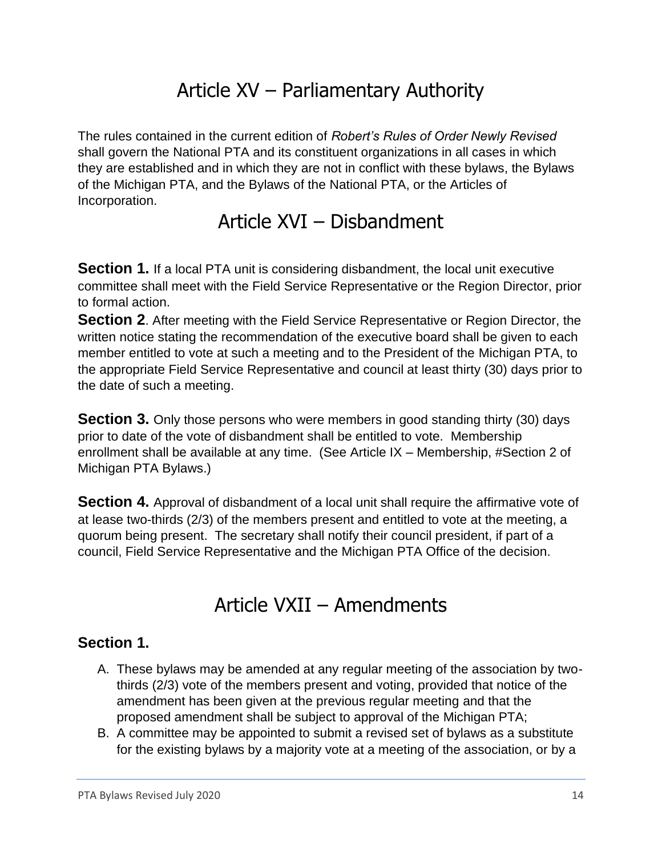# Article XV – Parliamentary Authority

The rules contained in the current edition of *Robert's Rules of Order Newly Revised*  shall govern the National PTA and its constituent organizations in all cases in which they are established and in which they are not in conflict with these bylaws, the Bylaws of the Michigan PTA, and the Bylaws of the National PTA, or the Articles of Incorporation.

Article XVI – Disbandment

**Section 1.** If a local PTA unit is considering disbandment, the local unit executive committee shall meet with the Field Service Representative or the Region Director, prior to formal action.

**Section 2.** After meeting with the Field Service Representative or Region Director, the written notice stating the recommendation of the executive board shall be given to each member entitled to vote at such a meeting and to the President of the Michigan PTA, to the appropriate Field Service Representative and council at least thirty (30) days prior to the date of such a meeting.

**Section 3.** Only those persons who were members in good standing thirty (30) days prior to date of the vote of disbandment shall be entitled to vote. Membership enrollment shall be available at any time. (See Article IX – Membership, #Section 2 of Michigan PTA Bylaws.)

**Section 4.** Approval of disbandment of a local unit shall require the affirmative vote of at lease two-thirds (2/3) of the members present and entitled to vote at the meeting, a quorum being present. The secretary shall notify their council president, if part of a council, Field Service Representative and the Michigan PTA Office of the decision.

## Article VXII – Amendments

#### **Section 1.**

- A. These bylaws may be amended at any regular meeting of the association by twothirds (2/3) vote of the members present and voting, provided that notice of the amendment has been given at the previous regular meeting and that the proposed amendment shall be subject to approval of the Michigan PTA;
- B. A committee may be appointed to submit a revised set of bylaws as a substitute for the existing bylaws by a majority vote at a meeting of the association, or by a